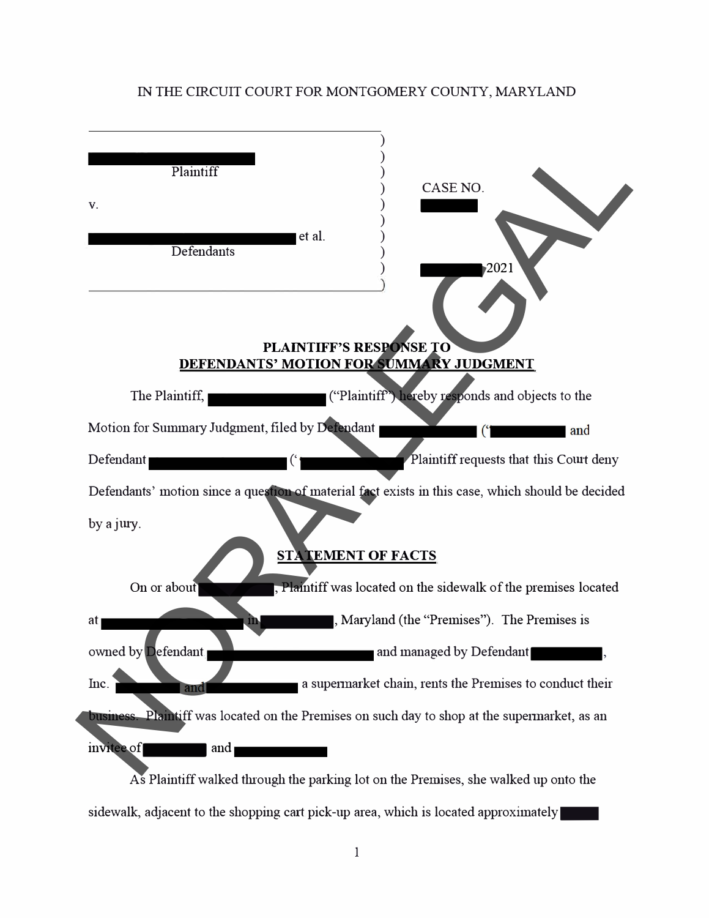## IN THE CIRCUIT COURT FOR MONTGOMERY COUNTY, MARYLAND

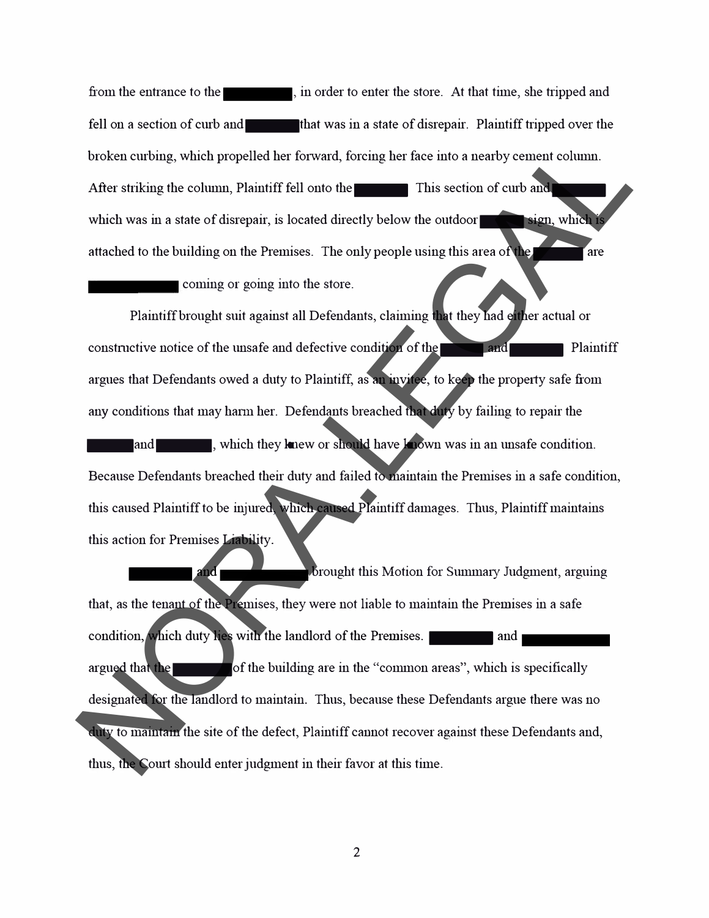from the entrance to the  $\blacksquare$ , in order to enter the store. At that time, she tripped and fell on a section of curb and **that was in a state of disrepair.** Plaintiff tripped over the broken curbing, which propelled her forward, forcing her face into a nearby cement column. After striking the column, Plaintiff fell onto the This section of curb and which was in a state of disrepair, is located directly below the outdoor sign, which is attached to the building on the Premises. The only people using this area of the **the state** are

coming or going into the store.

Plaintiff brought suit against all Defendants, claiming that they had either actual or constructive notice of the unsafe and defective condition of the $\blacksquare$  and  $\blacksquare$  Plaintiff argues that Defendants owed a duty to Plaintiff, as an invitee, to keep the property safe from any conditions that may harm her. Defendants breached that duty by failing to repair the .... and .... , which they knew or should have known was in an unsafe condition. Because Defendants breached their duty and failed to maintain the Premises in a safe condition, this caused Plaintiff to be injured, which caused Plaintiff damages. Thus, Plaintiff maintains this action for Premises Liability. broken cutting, which propelled her forward, forcing her face into a nearby cement column.<br>
After striking the column, Plaintiff fell onto the strike in this section of cut and<br>
which was in a state of disrepair, is locate

and 1  $\mathbf b$  brought this Motion for Summary Judgment, arguing that, as the tenant of the Premises, they were not liable to maintain the Premises in a safe condition, which duty lies with the landlord of the Premises. argued that the **all of the building are in the "common areas"**, which is specifically designated for the landlord to maintain. Thus, because these Defendants argue there was no duty to maintain the site of the defect, Plaintiff cannot recover against these Defendants and, thus, the Court should enter judgment in their favor at this time.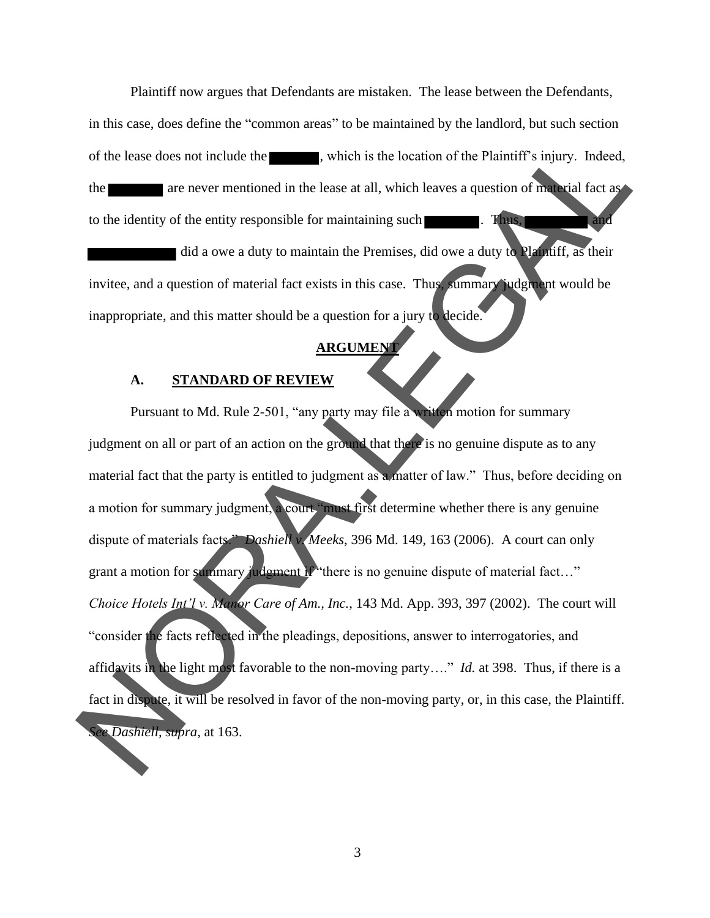Plaintiff now argues that Defendants are mistaken. The lease between the Defendants, in this case, does define the "common areas" to be maintained by the landlord, but such section of the lease does not include the , which is the location of the Plaintiff's injury. Indeed, the are never mentioned in the lease at all, which leaves a question of material fact as to the identity of the entity responsible for maintaining such  $\blacksquare$ . Thus, did a owe a duty to maintain the Premises, did owe a duty to Plaintiff, as their

invitee, and a question of material fact exists in this case. Thus, summary judgment would be inappropriate, and this matter should be a question for a jury to decide.

## **ARGUMEN**

#### **A. STANDARD OF REVIEW**

Pursuant to Md. Rule 2-501, "any party may file a written motion for summary judgment on all or part of an action on the ground that there is no genuine dispute as to any material fact that the party is entitled to judgment as a matter of law." Thus, before deciding on a motion for summary judgment, a court "must first determine whether there is any genuine dispute of materials facts." *Dashiell v. Meeks*, 396 Md. 149, 163 (2006). A court can only grant a motion for summary judgment if "there is no genuine dispute of material fact..." *Choice Hotels Int'l v. Manor Care of Am., Inc.*, 143 Md. App. 393, 397 (2002). The court will "consider the facts reflected in the pleadings, depositions, answer to interrogatories, and affidavits in the light most favorable to the non-moving party…." *Id.* at 398. Thus, if there is a fact in dispute, it will be resolved in favor of the non-moving party, or, in this case, the Plaintiff. *See Dashiell, supra*, at 163. of the lease does not include the season in the last state is the location of the Plaintiff's injury. Indeed,<br>the season include the lease at all, which leaves a question of much last as<br>to the identity of the entity resp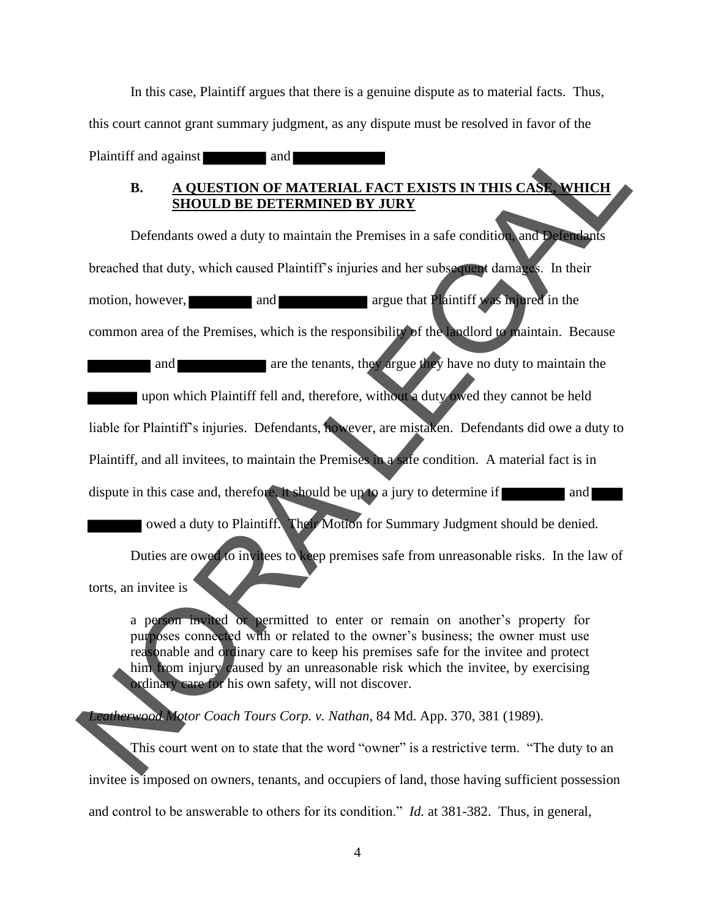In this case, Plaintiff argues that there is a genuine dispute as to material facts. Thus, this court cannot grant summary judgment, as any dispute must be resolved in favor of the Plaintiff and against and

## **B. A QUESTION OF MATERIAL FACT EXISTS IN THIS CASE, WHICH SHOULD BE DETERMINED BY JURY**

Defendants owed a duty to maintain the Premises in a safe condition, and Defendants breached that duty, which caused Plaintiff's injuries and her subsequent damages. In their motion, however, and and argue that Plaintiff was injured in the common area of the Premises, which is the responsibility of the landlord to maintain. Because and are the tenants, they argue they have no duty to maintain the upon which Plaintiff fell and, therefore, without a duty owed they cannot be held liable for Plaintiff's injuries. Defendants, however, are mistaken. Defendants did owe a duty to Plaintiff, and all invitees, to maintain the Premises in a safe condition. A material fact is in dispute in this case and, therefore, it should be up to a jury to determine if and owed a duty to Plaintiff. Their Motion for Summary Judgment should be denied. Duties are owed to invitees to keep premises safe from unreasonable risks. In the law of NORA.LEGAL

torts, an invitee is

a person invited or permitted to enter or remain on another's property for purposes connected with or related to the owner's business; the owner must use reasonable and ordinary care to keep his premises safe for the invitee and protect him from injury caused by an unreasonable risk which the invitee, by exercising ordinary care for his own safety, will not discover.

*Leatherwood Motor Coach Tours Corp. v. Nathan*, 84 Md. App. 370, 381 (1989).

This court went on to state that the word "owner" is a restrictive term. "The duty to an invitee is imposed on owners, tenants, and occupiers of land, those having sufficient possession and control to be answerable to others for its condition." *Id.* at 381-382. Thus, in general,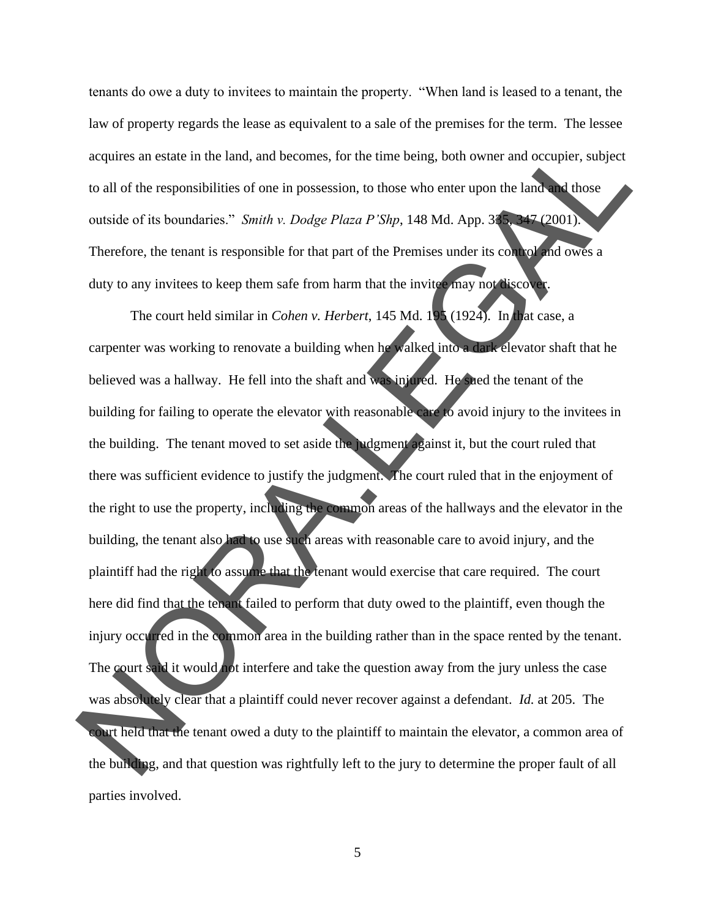tenants do owe a duty to invitees to maintain the property. "When land is leased to a tenant, the law of property regards the lease as equivalent to a sale of the premises for the term. The lessee acquires an estate in the land, and becomes, for the time being, both owner and occupier, subject to all of the responsibilities of one in possession, to those who enter upon the land and those outside of its boundaries." *Smith v. Dodge Plaza P'Shp*, 148 Md. App. 335, 347 (2001). Therefore, the tenant is responsible for that part of the Premises under its control and owes a duty to any invitees to keep them safe from harm that the invitee may not discover.

The court held similar in *Cohen v. Herbert*, 145 Md. 195 (1924). In that case, a carpenter was working to renovate a building when he walked into a dark elevator shaft that he believed was a hallway. He fell into the shaft and was injured. He sued the tenant of the building for failing to operate the elevator with reasonable care to avoid injury to the invitees in the building. The tenant moved to set aside the judgment against it, but the court ruled that there was sufficient evidence to justify the judgment. The court ruled that in the enjoyment of the right to use the property, including the common areas of the hallways and the elevator in the building, the tenant also had to use such areas with reasonable care to avoid injury, and the plaintiff had the right to assume that the tenant would exercise that care required. The court here did find that the tenant failed to perform that duty owed to the plaintiff, even though the injury occurred in the common area in the building rather than in the space rented by the tenant. The court said it would not interfere and take the question away from the jury unless the case was absolutely clear that a plaintiff could never recover against a defendant. *Id.* at 205. The court held that the tenant owed a duty to the plaintiff to maintain the elevator, a common area of the building, and that question was rightfully left to the jury to determine the proper fault of all parties involved. acquires an estate in the land, and becomes, for the time being, both owner and occupier, subject<br>to all of the responsibilities of one in possession, to those who enter upon the land. Those<br>couside of its boundaries." *S*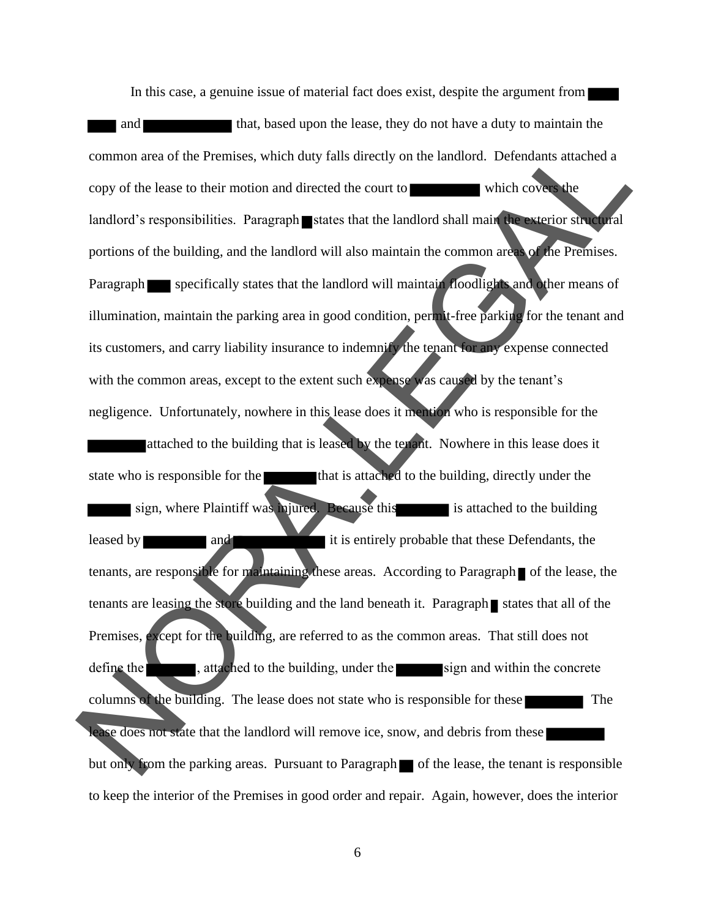In this case, a genuine issue of material fact does exist, despite the argument from and that, based upon the lease, they do not have a duty to maintain the common area of the Premises, which duty falls directly on the landlord. Defendants attached a copy of the lease to their motion and directed the court to which covers the landlord's responsibilities. Paragraph states that the landlord shall main the exterior structural portions of the building, and the landlord will also maintain the common areas of the Premises. Paragraph specifically states that the landlord will maintain floodlights and other means of illumination, maintain the parking area in good condition, permit-free parking for the tenant and its customers, and carry liability insurance to indemnify the tenant for any expense connected with the common areas, except to the extent such expense was caused by the tenant's negligence. Unfortunately, nowhere in this lease does it mention who is responsible for the attached to the building that is leased by the tenant. Nowhere in this lease does it state who is responsible for the that is attached to the building, directly under the sign, where Plaintiff was injured. Because this is attached to the building leased by and and it is entirely probable that these Defendants, the tenants, are responsible for maintaining these areas. According to Paragraph  $\blacksquare$  of the lease, the tenants are leasing the store building and the land beneath it. Paragraph states that all of the Premises, except for the building, are referred to as the common areas. That still does not define the  $\blacksquare$ , attached to the building, under the sign and within the concrete columns of the building. The lease does not state who is responsible for these ease does not state that the landlord will remove ice, snow, and debris from these but only from the parking areas. Pursuant to Paragraph  $\blacksquare$  of the lease, the tenant is responsible to keep the interior of the Premises in good order and repair. Again, however, does the interior common area of the Premises, which duty falls directly on the landlord. Defendants attached a<br>copy of the least to their motion and directed the court to<br>landlord's responsibilities. Paragraph states that the landlord sha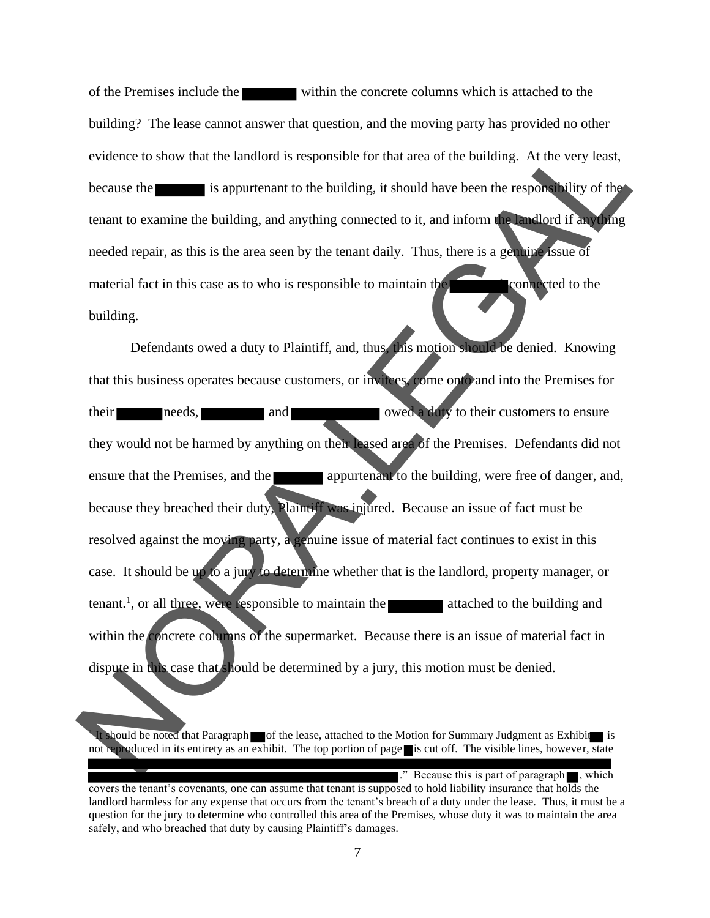of the Premises include the within the concrete columns which is attached to the building? The lease cannot answer that question, and the moving party has provided no other evidence to show that the landlord is responsible for that area of the building. At the very least, because the is appurtenant to the building, it should have been the responsibility of the tenant to examine the building, and anything connected to it, and inform the landlord if anything needed repair, as this is the area seen by the tenant daily. Thus, there is a genuine issue of material fact in this case as to who is responsible to maintain the connected to the building.

Defendants owed a duty to Plaintiff, and, thus, this motion should be denied. Knowing that this business operates because customers, or invitees, come onto and into the Premises for their needs, and and owed a duty to their customers to ensure they would not be harmed by anything on their leased area of the Premises. Defendants did not ensure that the Premises, and the appurtenant to the building, were free of danger, and, because they breached their duty, Plaintiff was injured. Because an issue of fact must be resolved against the moving party, a genuine issue of material fact continues to exist in this case. It should be up to a jury to determine whether that is the landlord, property manager, or  $t$  tenant.<sup>1</sup>, or all three, were responsible to maintain the attached to the building and within the concrete columns of the supermarket. Because there is an issue of material fact in dispute in this case that should be determined by a jury, this motion must be denied. evidence to show that the landlord is responsible for that area of the building. At the very least,<br>because the signal is appurenant to the building, it should have been the responsibility of the<br>tenant to examine the buil

." Because this is part of paragraph  $\blacksquare$ , which

<sup>1</sup> It should be noted that Paragraph of the lease, attached to the Motion for Summary Judgment as Exhibit is not reproduced in its entirety as an exhibit. The top portion of page is cut off. The visible lines, however, state

covers the tenant's covenants, one can assume that tenant is supposed to hold liability insurance that holds the landlord harmless for any expense that occurs from the tenant's breach of a duty under the lease. Thus, it must be a question for the jury to determine who controlled this area of the Premises, whose duty it was to maintain the area safely, and who breached that duty by causing Plaintiff's damages.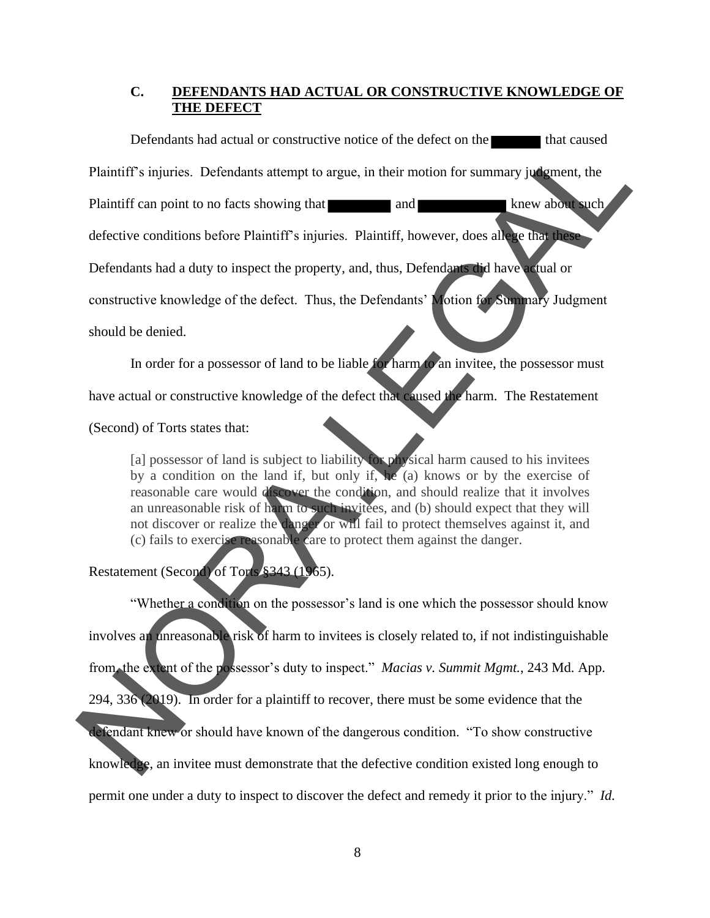#### **C. DEFENDANTS HAD ACTUAL OR CONSTRUCTIVE KNOWLEDGE OF THE DEFECT**

Defendants had actual or constructive notice of the defect on the that caused Plaintiff's injuries. Defendants attempt to argue, in their motion for summary judgment, the Plaintiff can point to no facts showing that and and knew about such defective conditions before Plaintiff's injuries. Plaintiff, however, does allege that these Defendants had a duty to inspect the property, and, thus, Defendants did have actual or constructive knowledge of the defect. Thus, the Defendants' Motion for Summary Judgment should be denied. Defendants had actual or constructive notice of the defect on the that caused<br>
Plaintiff's an point to no facts showing that  $\blacksquare$  and<br>
Plaintiff's an point to no facts showing that  $\blacksquare$  and<br>
defective conditions befor

In order for a possessor of land to be liable for harm to an invitee, the possessor must have actual or constructive knowledge of the defect that caused the harm. The Restatement

(Second) of Torts states that:

[a] possessor of land is subject to liability for physical harm caused to his invitees by a condition on the land if, but only if, he (a) knows or by the exercise of reasonable care would discover the condition, and should realize that it involves an unreasonable risk of harm to such invitees, and (b) should expect that they will not discover or realize the danger or will fail to protect themselves against it, and (c) fails to exercise reasonable care to protect them against the danger.

## Restatement (Second) of Torts §343 (1965).

"Whether a condition on the possessor's land is one which the possessor should know involves an unreasonable risk of harm to invitees is closely related to, if not indistinguishable from, the extent of the possessor's duty to inspect." *Macias v. Summit Mgmt.*, 243 Md. App. 294, 336 (2019). In order for a plaintiff to recover, there must be some evidence that the defendant knew or should have known of the dangerous condition. "To show constructive knowledge, an invitee must demonstrate that the defective condition existed long enough to permit one under a duty to inspect to discover the defect and remedy it prior to the injury." *Id.*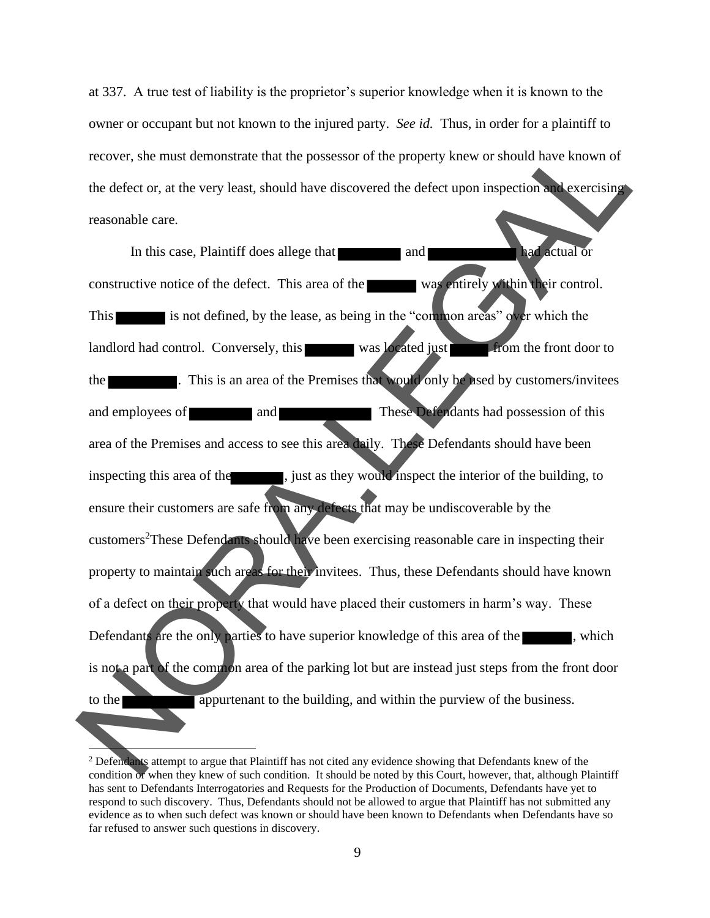at 337. A true test of liability is the proprietor's superior knowledge when it is known to the owner or occupant but not known to the injured party. *See id.* Thus, in order for a plaintiff to recover, she must demonstrate that the possessor of the property knew or should have known of the defect or, at the very least, should have discovered the defect upon inspection and exercising reasonable care.

In this case, Plaintiff does allege that and had actual or constructive notice of the defect. This area of the was entirely within their control. This is not defined, by the lease, as being in the "common areas" over which the landlord had control. Conversely, this was located just from the front door to the **Extending 1.** This is an area of the Premises that would only be used by customers/invitees and employees of and and These Defendants had possession of this area of the Premises and access to see this area daily. These Defendants should have been inspecting this area of the  $\blacksquare$ , just as they would inspect the interior of the building, to ensure their customers are safe from any defects that may be undiscoverable by the customers<sup>2</sup>These Defendants should have been exercising reasonable care in inspecting their property to maintain such areas for their invitees. Thus, these Defendants should have known of a defect on their property that would have placed their customers in harm's way. These Defendants are the only parties to have superior knowledge of this area of the  $\blacksquare$ , which is not a part of the common area of the parking lot but are instead just steps from the front door to the **appurtenant** to the building, and within the purview of the business. recover, she must demonstrate that the possessor of the property knew or should have known of<br>the defect or, at the very least, should have discovered the defect upon inspection<br>recosonable care.<br>In this case, Plaintiff do

<sup>&</sup>lt;sup>2</sup> Defendants attempt to argue that Plaintiff has not cited any evidence showing that Defendants knew of the condition or when they knew of such condition. It should be noted by this Court, however, that, although Plaintiff has sent to Defendants Interrogatories and Requests for the Production of Documents, Defendants have yet to respond to such discovery. Thus, Defendants should not be allowed to argue that Plaintiff has not submitted any evidence as to when such defect was known or should have been known to Defendants when Defendants have so far refused to answer such questions in discovery.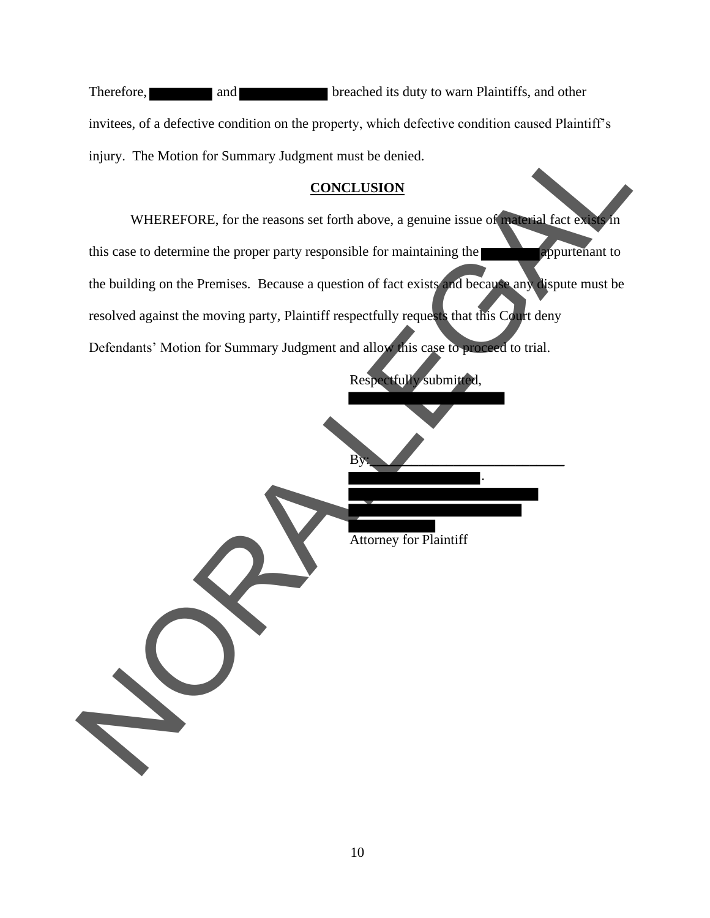| Therefore, | and                                                     | breached its duty to warn Plaintiffs, and other                                                  |
|------------|---------------------------------------------------------|--------------------------------------------------------------------------------------------------|
|            |                                                         | invitees, of a defective condition on the property, which defective condition caused Plaintiff's |
|            | injury. The Motion for Summary Judgment must be denied. |                                                                                                  |

### **CONCLUSION**

WHEREFORE, for the reasons set forth above, a genuine issue of material fact exists in this case to determine the proper party responsible for maintaining the **appurtenant** to the building on the Premises. Because a question of fact exists and because any dispute must be resolved against the moving party, Plaintiff respectfully requests that this Court deny Defendants' Motion for Summary Judgment and allow this case to proceed to trial. injury. The Motion for Summary Judgment must be denied.<br>
CONCLUSION<br>
WHEREFORE, for the reasons set forth above, a genuine issue of<br>
this case to determine the proper party responsible for maintaining the<br>
the building on

Respectfully submitted,

Attorney for Plaintiff

 $\mathbf{B}$ y:

.

10